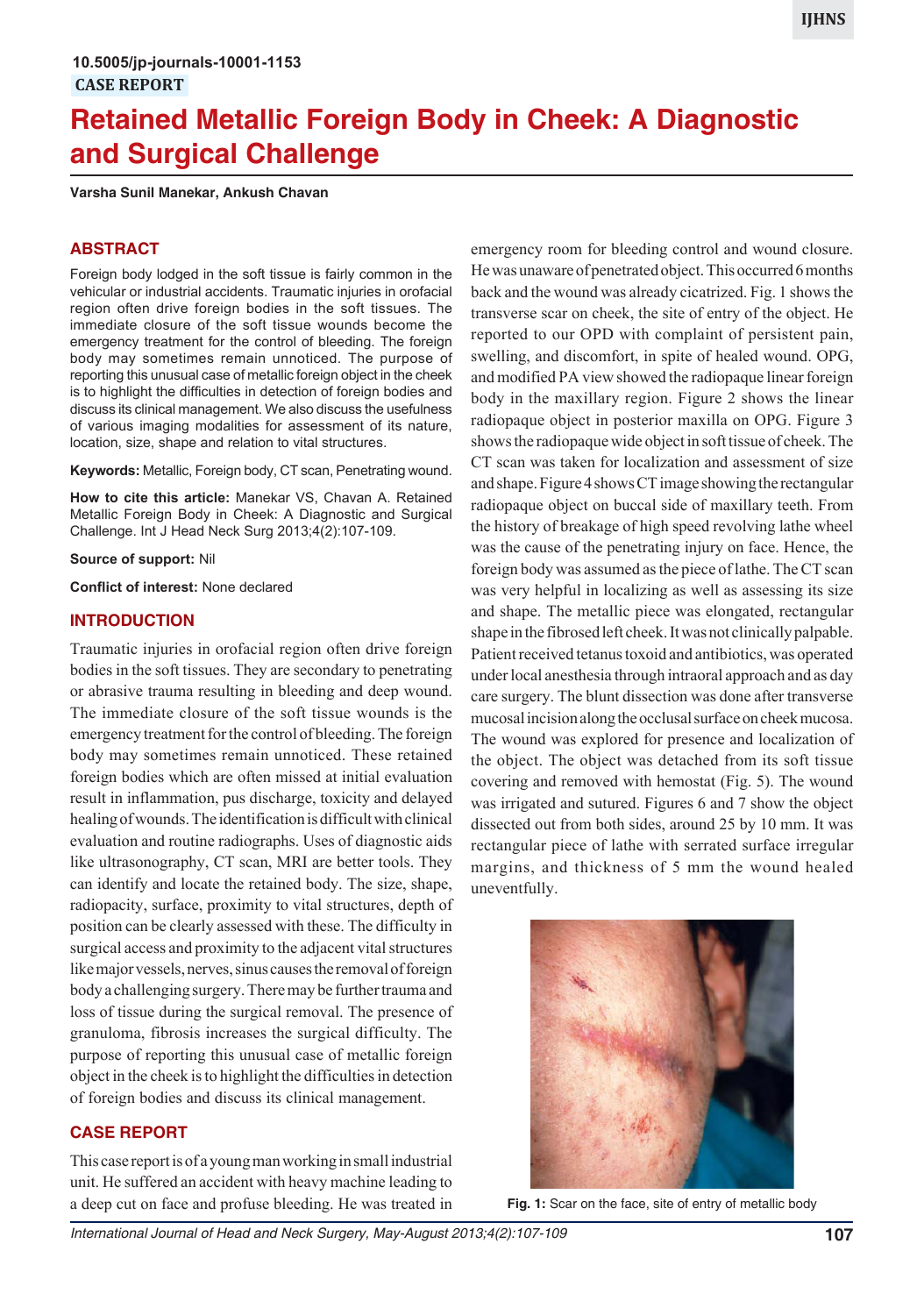# **Retained Metallic Foreign Body in Cheek: A Diagnostic and Surgical Challenge**

**Varsha Sunil Manekar, Ankush Chavan**

#### **ABSTRACT**

Foreign body lodged in the soft tissue is fairly common in the vehicular or industrial accidents. Traumatic injuries in orofacial region often drive foreign bodies in the soft tissues. The immediate closure of the soft tissue wounds become the emergency treatment for the control of bleeding. The foreign body may sometimes remain unnoticed. The purpose of reporting this unusual case of metallic foreign object in the cheek is to highlight the difficulties in detection of foreign bodies and discuss its clinical management. We also discuss the usefulness of various imaging modalities for assessment of its nature, location, size, shape and relation to vital structures.

**Keywords:** Metallic, Foreign body, CT scan, Penetrating wound.

**How to cite this article:** Manekar VS, Chavan A. Retained Metallic Foreign Body in Cheek: A Diagnostic and Surgical Challenge. Int J Head Neck Surg 2013;4(2):107-109.

**Source of support:** Nil

**Conflict of interest:** None declared

#### **INTRODUCTION**

Traumatic injuries in orofacial region often drive foreign bodies in the soft tissues. They are secondary to penetrating or abrasive trauma resulting in bleeding and deep wound. The immediate closure of the soft tissue wounds is the emergency treatment for the control of bleeding. The foreign body may sometimes remain unnoticed. These retained foreign bodies which are often missed at initial evaluation result in inflammation, pus discharge, toxicity and delayed healing of wounds. The identification is difficult with clinical evaluation and routine radiographs. Uses of diagnostic aids like ultrasonography, CT scan, MRI are better tools. They can identify and locate the retained body. The size, shape, radiopacity, surface, proximity to vital structures, depth of position can be clearly assessed with these. The difficulty in surgical access and proximity to the adjacent vital structures like major vessels, nerves, sinus causes the removal of foreign body a challenging surgery. There may be further trauma and loss of tissue during the surgical removal. The presence of granuloma, fibrosis increases the surgical difficulty. The purpose of reporting this unusual case of metallic foreign object in the cheek is to highlight the difficulties in detection of foreign bodies and discuss its clinical management.

#### **CASE REPORT**

This case report is of a young man working in small industrial unit. He suffered an accident with heavy machine leading to a deep cut on face and profuse bleeding. He was treated in emergency room for bleeding control and wound closure. He was unaware of penetrated object. This occurred 6 months back and the wound was already cicatrized. Fig. 1 shows the transverse scar on cheek, the site of entry of the object. He reported to our OPD with complaint of persistent pain, swelling, and discomfort, in spite of healed wound. OPG, and modified PA view showed the radiopaque linear foreign body in the maxillary region. Figure 2 shows the linear radiopaque object in posterior maxilla on OPG. Figure 3 shows the radiopaque wide object in soft tissue of cheek. The CT scan was taken for localization and assessment of size and shape. Figure 4 shows CT image showing the rectangular radiopaque object on buccal side of maxillary teeth. From the history of breakage of high speed revolving lathe wheel was the cause of the penetrating injury on face. Hence, the foreign body was assumed as the piece of lathe. The CT scan was very helpful in localizing as well as assessing its size and shape. The metallic piece was elongated, rectangular shape in the fibrosed left cheek. It was not clinically palpable. Patient received tetanus toxoid and antibiotics, was operated under local anesthesia through intraoral approach and as day care surgery. The blunt dissection was done after transverse mucosal incision along the occlusal surface on cheek mucosa. The wound was explored for presence and localization of the object. The object was detached from its soft tissue covering and removed with hemostat (Fig. 5). The wound was irrigated and sutured. Figures 6 and 7 show the object dissected out from both sides, around 25 by 10 mm. It was rectangular piece of lathe with serrated surface irregular margins, and thickness of 5 mm the wound healed uneventfully.



**Fig. 1:** Scar on the face, site of entry of metallic body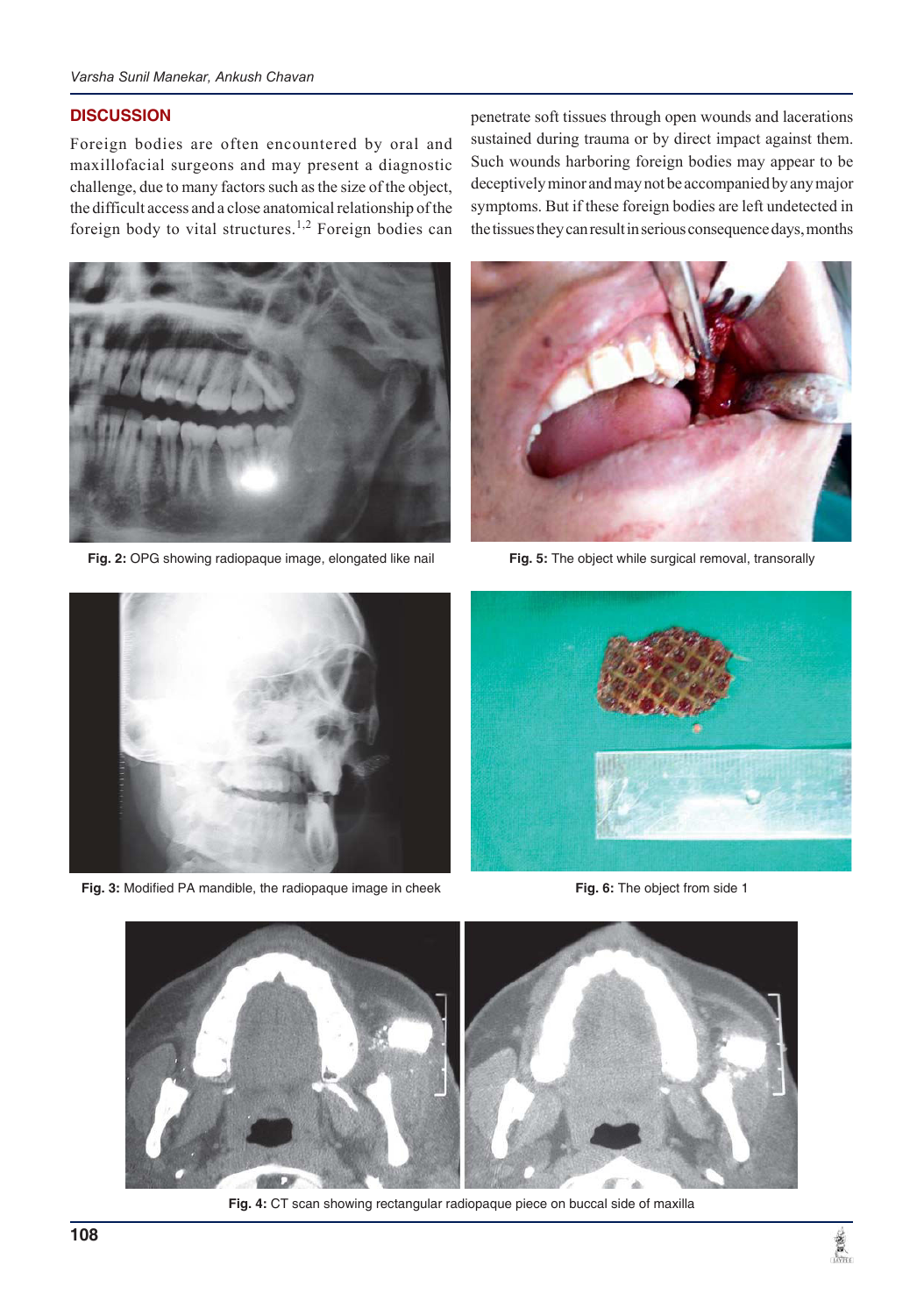#### *Varsha Sunil Manekar, Ankush Chavan*

#### **DISCUSSION**

Foreign bodies are often encountered by oral and maxillofacial surgeons and may present a diagnostic challenge, due to many factors such as the size of the object, the difficult access and a close anatomical relationship of the foreign body to vital structures.<sup>1,2</sup> Foreign bodies can

penetrate soft tissues through open wounds and lacerations sustained during trauma or by direct impact against them. Such wounds harboring foreign bodies may appear to be deceptively minor and may not be accompanied by any major symptoms. But if these foreign bodies are left undetected in the tissues they can result in serious consequence days, months



**Fig. 2:** OPG showing radiopaque image, elongated like nail



**Fig. 5:** The object while surgical removal, transorally



**Fig. 3:** Modified PA mandible, the radiopaque image in cheek



**Fig. 6:** The object from side 1



**Fig. 4:** CT scan showing rectangular radiopaque piece on buccal side of maxilla